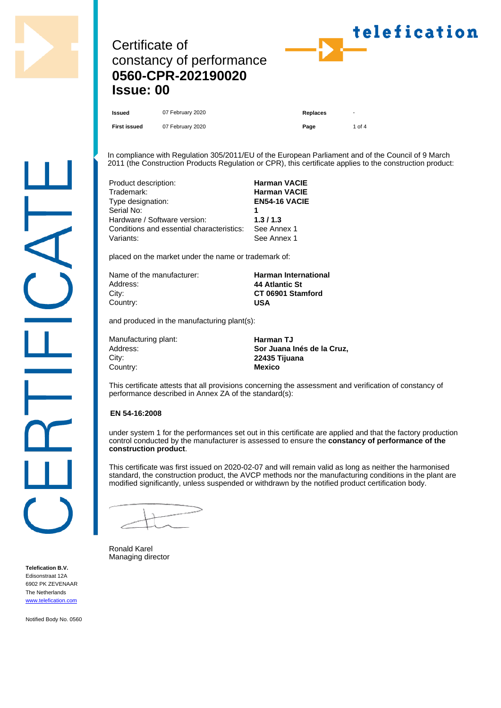

# Certificate of constancy of performance **0560-CPR-202190020 Issue: 00**



**Issued** 07 February 2020 **Replaces** Replaces

**First issued** 07 February 2020 **Page** 1 of 4

In compliance with Regulation 305/2011/EU of the European Parliament and of the Council of 9 March 2011 (the Construction Products Regulation or CPR), this certificate applies to the construction product:

| Product description:                      | <b>Harman VACIE</b>  |
|-------------------------------------------|----------------------|
| Trademark:                                | <b>Harman VACIE</b>  |
| Type designation:                         | <b>EN54-16 VACIE</b> |
| Serial No:                                |                      |
| Hardware / Software version:              | 1.3/1.3              |
| Conditions and essential characteristics: | See Annex 1          |
| Variants:                                 | See Annex 1          |

placed on the market under the name or trademark of:

| Name of the manufacturer: | <b>Harman International</b> |
|---------------------------|-----------------------------|
| Address:                  | 44 Atlantic St              |
| Citv:                     | CT 06901 Stamford           |
| Country:                  | USA                         |
|                           |                             |

and produced in the manufacturing plant(s):

| Manufacturing plant: |
|----------------------|
| Address:             |
| City:                |
| Country:             |

**Harman TJ** Sor Juana Inés de la Cruz, City: **22435 Tijuana Mexico** 

This certificate attests that all provisions concerning the assessment and verification of constancy of performance described in Annex ZA of the standard(s):

### **EN 54-16:2008**

under system 1 for the performances set out in this certificate are applied and that the factory production control conducted by the manufacturer is assessed to ensure the **constancy of performance of the construction product**.

This certificate was first issued on 2020-02-07 and will remain valid as long as neither the harmonised standard, the construction product, the AVCP methods nor the manufacturing conditions in the plant are modified significantly, unless suspended or withdrawn by the notified product certification body.

Ronald Karel Managing director

**Telefication B.V.** Edisonstraat 12A 6902 PK ZEVENAAR The Netherlands [www.telefication.com](http://www.telefication.com)

Notified Body No. 0560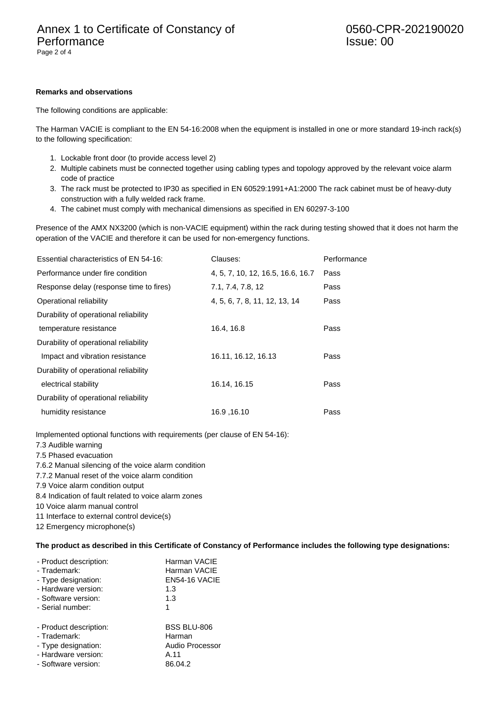#### **Remarks and observations**

The following conditions are applicable:

The Harman VACIE is compliant to the EN 54-16:2008 when the equipment is installed in one or more standard 19-inch rack(s) to the following specification:

- 1. Lockable front door (to provide access level 2)
- 2. Multiple cabinets must be connected together using cabling types and topology approved by the relevant voice alarm code of practice
- 3. The rack must be protected to IP30 as specified in EN 60529:1991+A1:2000 The rack cabinet must be of heavy-duty construction with a fully welded rack frame.
- 4. The cabinet must comply with mechanical dimensions as specified in EN 60297-3-100

Presence of the AMX NX3200 (which is non-VACIE equipment) within the rack during testing showed that it does not harm the operation of the VACIE and therefore it can be used for non-emergency functions.

| Essential characteristics of EN 54-16:  | Clauses:                          | Performance |
|-----------------------------------------|-----------------------------------|-------------|
| Performance under fire condition        | 4, 5, 7, 10, 12, 16.5, 16.6, 16.7 | Pass        |
| Response delay (response time to fires) | 7.1, 7.4, 7.8, 12                 | Pass        |
| Operational reliability                 | 4, 5, 6, 7, 8, 11, 12, 13, 14     | Pass        |
| Durability of operational reliability   |                                   |             |
| temperature resistance                  | 16.4, 16.8                        | Pass        |
| Durability of operational reliability   |                                   |             |
| Impact and vibration resistance         | 16.11, 16.12, 16.13               | Pass        |
| Durability of operational reliability   |                                   |             |
| electrical stability                    | 16.14, 16.15                      | Pass        |
| Durability of operational reliability   |                                   |             |
| humidity resistance                     | 16.9, 16.10                       | Pass        |

Implemented optional functions with requirements (per clause of EN 54-16):

7.3 Audible warning

7.5 Phased evacuation

- 7.6.2 Manual silencing of the voice alarm condition
- 7.7.2 Manual reset of the voice alarm condition

7.9 Voice alarm condition output

8.4 Indication of fault related to voice alarm zones

10 Voice alarm manual control

11 Interface to external control device(s)

12 Emergency microphone(s)

#### **The product as described in this Certificate of Constancy of Performance includes the following type designations:**

| - Product description: | Harman VACIE       |
|------------------------|--------------------|
| - Trademark:           | Harman VACIE       |
| - Type designation:    | EN54-16 VACIE      |
| - Hardware version:    | 1.3                |
| - Software version:    | 1.3                |
| - Serial number:       | 1                  |
| - Product description: | <b>BSS BLU-806</b> |
| - Trademark:           | Harman             |
| - Type designation:    | Audio Processor    |
| - Hardware version:    | A.11               |
| - Software version:    | 86.04.2            |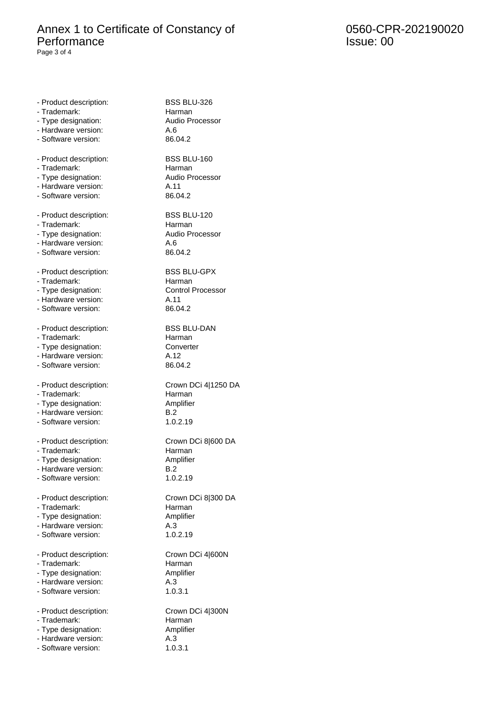## Annex 1 to Certificate of Constancy of Performance

Page 3 of 4

0560-CPR-202190020 Issue: 00

| - Product description:<br>- Trademark: | BSS BLU-326<br>Harman    |
|----------------------------------------|--------------------------|
| - Type designation:                    | Audio Processor          |
| - Hardware version:                    | A.6                      |
| - Software version:                    | 86.04.2                  |
| - Product description:                 | <b>BSS BLU-160</b>       |
| - Trademark:                           | Harman                   |
| - Type designation:                    | <b>Audio Processor</b>   |
| - Hardware version:                    | A.11                     |
| - Software version:                    | 86.04.2                  |
| - Product description:                 | <b>BSS BLU-120</b>       |
| - Trademark:                           | Harman                   |
| - Type designation:                    | Audio Processor          |
| - Hardware version:                    | A.6                      |
| - Software version:                    | 86.04.2                  |
| - Product description:                 | <b>BSS BLU-GPX</b>       |
| - Trademark:                           | Harman                   |
| - Type designation:                    | <b>Control Processor</b> |
| - Hardware version:                    | A.11                     |
| - Software version:                    | 86.04.2                  |
| - Product description:                 | <b>BSS BLU-DAN</b>       |
| - Trademark:                           | Harman                   |
| - Type designation:                    | Converter                |
| - Hardware version:                    | A.12                     |
| - Software version:                    | 86.04.2                  |
| - Product description:                 | Crown DCi 4 1250 DA      |
| - Trademark:                           | Harman                   |
| - Type designation:                    | Amplifier                |
| - Hardware version:                    | B.2                      |
| - Software version:                    | 1.0.2.19                 |
| - Product description:                 | Crown DCi 8 600 DA       |
| - Trademark:                           | Harman                   |
| - Type designation:                    | Amplifier                |
| - Hardware version:                    | B.2                      |
| - Software version:                    | 1.0.2.19                 |
| - Product description:                 | Crown DCi 8 300 DA       |
| - Trademark:                           | Harman                   |
| - Type designation:                    | Amplifier                |
| - Hardware version:                    | A.3                      |
| - Software version:                    | 1.0.2.19                 |
| - Product description:                 | Crown DCi 4 600N         |
| - Trademark:                           | Harman                   |
| - Type designation:                    | Amplifier                |
| - Hardware version:                    | A.3                      |
| - Software version:                    | 1.0.3.1                  |
| - Product description:                 | Crown DCi 4 300N         |
| - Trademark:                           | Harman                   |
| - Type designation:                    | Amplifier                |
| - Hardware version:                    | A.3                      |
| - Software version:                    | 1.0.3.1                  |
|                                        |                          |